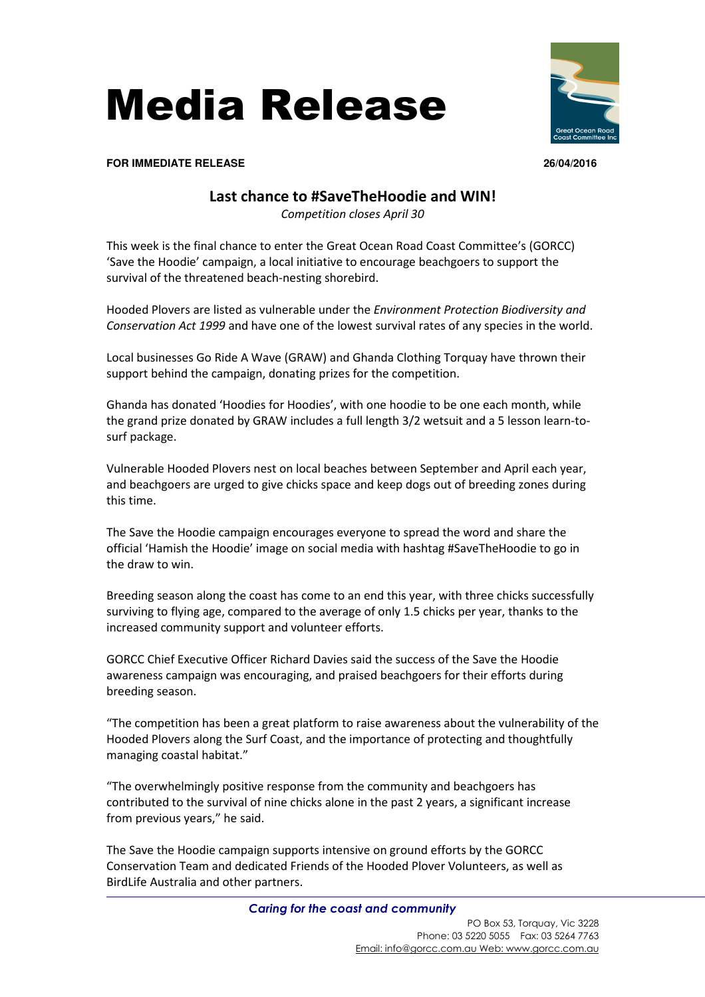



**FOR IMMEDIATE RELEASE 26/04/2016**

## **Last chance to #SaveTheHoodie and WIN!**

*Competition closes April 30* 

This week is the final chance to enter the Great Ocean Road Coast Committee's (GORCC) 'Save the Hoodie' campaign, a local initiative to encourage beachgoers to support the survival of the threatened beach-nesting shorebird.

Hooded Plovers are listed as vulnerable under the *Environment Protection Biodiversity and Conservation Act 1999* and have one of the lowest survival rates of any species in the world.

Local businesses Go Ride A Wave (GRAW) and Ghanda Clothing Torquay have thrown their support behind the campaign, donating prizes for the competition.

Ghanda has donated 'Hoodies for Hoodies', with one hoodie to be one each month, while the grand prize donated by GRAW includes a full length 3/2 wetsuit and a 5 lesson learn-tosurf package.

Vulnerable Hooded Plovers nest on local beaches between September and April each year, and beachgoers are urged to give chicks space and keep dogs out of breeding zones during this time.

The Save the Hoodie campaign encourages everyone to spread the word and share the official 'Hamish the Hoodie' image on social media with hashtag #SaveTheHoodie to go in the draw to win.

Breeding season along the coast has come to an end this year, with three chicks successfully surviving to flying age, compared to the average of only 1.5 chicks per year, thanks to the increased community support and volunteer efforts.

GORCC Chief Executive Officer Richard Davies said the success of the Save the Hoodie awareness campaign was encouraging, and praised beachgoers for their efforts during breeding season.

"The competition has been a great platform to raise awareness about the vulnerability of the Hooded Plovers along the Surf Coast, and the importance of protecting and thoughtfully managing coastal habitat."

"The overwhelmingly positive response from the community and beachgoers has contributed to the survival of nine chicks alone in the past 2 years, a significant increase from previous years," he said.

The Save the Hoodie campaign supports intensive on ground efforts by the GORCC Conservation Team and dedicated Friends of the Hooded Plover Volunteers, as well as BirdLife Australia and other partners.